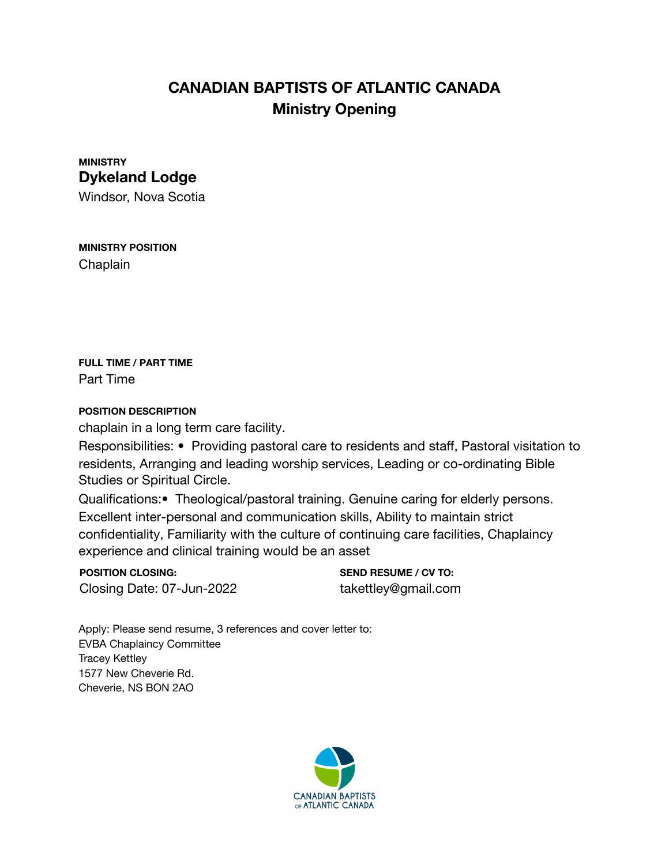# **CANADIAN BAPTISTS OF ATLANTIC CANADA Ministry Opening**

### **MINISTRY Dykeland Lodge**

Windsor, Nova Scotia

#### **MINISTRY POSITION** Chaplain

**FULL TIME / PART TIME** Part Time

#### **POSITION DESCRIPTION**

chaplain in a long term care facility.

Responsibilities: • Providing pastoral care to residents and staff, Pastoral visitation to residents, Arranging and leading worship services, Leading or co-ordinating Bible Studies or Spiritual Circle.

Qualifications:• Theological/pastoral training. Genuine caring for elderly persons. Excellent inter-personal and communication skills, Ability to maintain strict confidentiality, Familiarity with the culture of continuing care facilities, Chaplaincy experience and clinical training would be an asset

**POSITION CLOSING:** Closing Date: 07-Jun-2022

**SEND RESUME / CV TO:** takettley@gmail.com

Apply: Please send resume, 3 references and cover letter to: **EVBA Chaplaincy Committee Tracey Kettley** 1577 New Cheverie Rd. Cheverie, NS BON 2AO